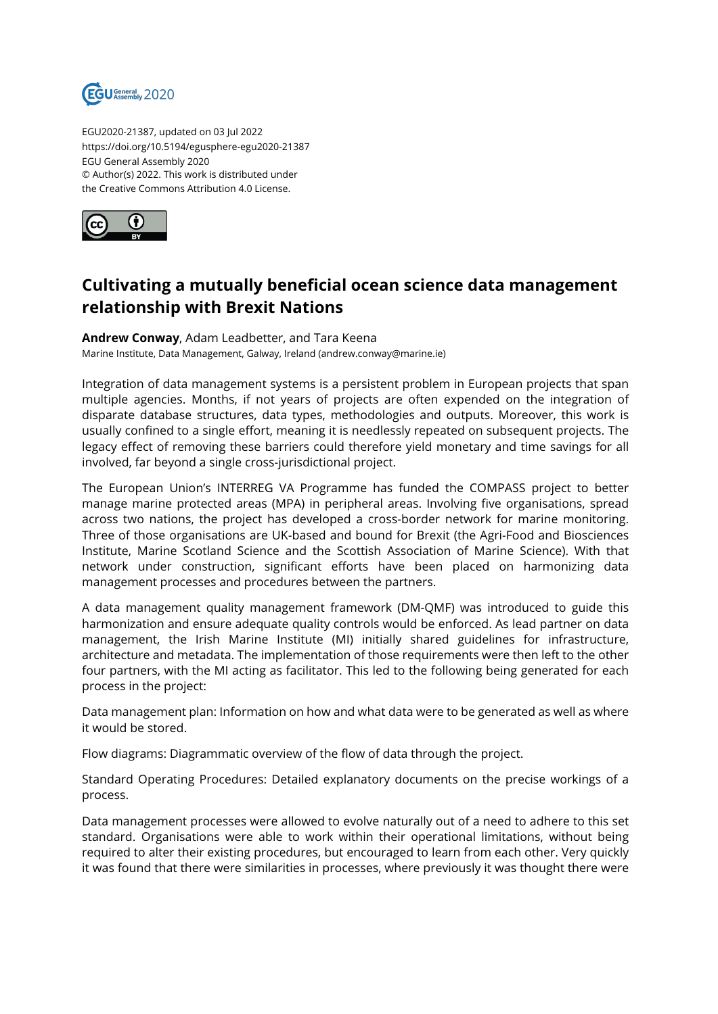

EGU2020-21387, updated on 03 Jul 2022 https://doi.org/10.5194/egusphere-egu2020-21387 EGU General Assembly 2020 © Author(s) 2022. This work is distributed under the Creative Commons Attribution 4.0 License.



## **Cultivating a mutually beneficial ocean science data management relationship with Brexit Nations**

**Andrew Conway**, Adam Leadbetter, and Tara Keena

Marine Institute, Data Management, Galway, Ireland (andrew.conway@marine.ie)

Integration of data management systems is a persistent problem in European projects that span multiple agencies. Months, if not years of projects are often expended on the integration of disparate database structures, data types, methodologies and outputs. Moreover, this work is usually confined to a single effort, meaning it is needlessly repeated on subsequent projects. The legacy effect of removing these barriers could therefore yield monetary and time savings for all involved, far beyond a single cross-jurisdictional project.

The European Union's INTERREG VA Programme has funded the COMPASS project to better manage marine protected areas (MPA) in peripheral areas. Involving five organisations, spread across two nations, the project has developed a cross-border network for marine monitoring. Three of those organisations are UK-based and bound for Brexit (the Agri-Food and Biosciences Institute, Marine Scotland Science and the Scottish Association of Marine Science). With that network under construction, significant efforts have been placed on harmonizing data management processes and procedures between the partners.

A data management quality management framework (DM-QMF) was introduced to guide this harmonization and ensure adequate quality controls would be enforced. As lead partner on data management, the Irish Marine Institute (MI) initially shared guidelines for infrastructure, architecture and metadata. The implementation of those requirements were then left to the other four partners, with the MI acting as facilitator. This led to the following being generated for each process in the project:

Data management plan: Information on how and what data were to be generated as well as where it would be stored.

Flow diagrams: Diagrammatic overview of the flow of data through the project.

Standard Operating Procedures: Detailed explanatory documents on the precise workings of a process.

Data management processes were allowed to evolve naturally out of a need to adhere to this set standard. Organisations were able to work within their operational limitations, without being required to alter their existing procedures, but encouraged to learn from each other. Very quickly it was found that there were similarities in processes, where previously it was thought there were